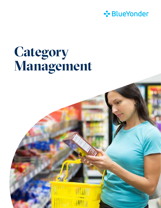

# **Category Management**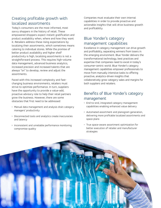# Creating profitable growth with localized assortments

Today's consumers are the most informed, most savvy shoppers in the history of retail. These empowered shoppers expect instant gratification and product availability when, where and how they want it. Retailers address these rising expectations by localizing their assortments, which sometimes means catering to individual stores. While the promise of better product availability and higher shelf productivity is high, localizing assortments is not a straightforward process. This requires high-volume data management, advanced business analytics, increased precision and increased talents that are always "on" to develop, review and adjust the assortments.

Faced with this increased complexity and fastchanging business environments, retailers must strive to optimize performance. In turn, suppliers have the opportunity to provide a value-add, proactive advisory role to help their retail partners grow the business. However, there are some obstacles that first need to be addressed:

- Manual data management and analysis drain category managers' productivity
- Disconnected tools and analytics create inaccuracies and latency
- Inconsistent and unreliable performance monitoring compromise quality

Companies must evaluate their own internal capabilities in order to provide proactive and actionable insights that will drive business growth and profitability.

# Blue Yonder's category management capabilities

Excellence in category management can drive growth and profitability, separating winners from losers in the emerging environment. Blue Yonder delivers the transformational technology, best practices and expertise that companies need to excel in today's consumer-centric world. Blue Yonder's category management capabilities empower professionals to move from manually intensive tasks to offering proactive, analytics-driven insights that collaboratively grow category sales and margins for both suppliers and retailers.

# Benefits of Blue Yonder's category management

- End-to-end, integrated category management capabilities enabling enhanced value delivery
- Automated assortment and planogram generation, delivering more profitable localized assortments and space plans
- True space-aware assortment optimization for better execution of retailer and manufacturer strategies

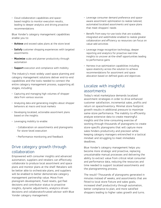• Cloud collaboration capabilities and spacebased insights to monitor execution results, leading to deeper analytics and driving proactive recommendations

Blue Yonder's category management capabilities enable you to:

- Achieve and exceed sales plans at the store level
- Satisfy customer shopping experiences with targeted assortments
- Maximize scale and planner productivity through automation
- Support execution and compliance with mobility

The industry's most widely used space planning and category management solutions deliver end-to-end capabilities and the tools needed to connect the entire category management process, supporting all stages, including:

- Capturing and managing high volumes of shopper data from various sources
- Analyzing data and generating insights about shopper behaviors at macro and local markets
- Developing localized, actionable assortment plans based on the insights
- Leveraging mobility to enable:
	- Collaboration on assortments and planograms for store-level execution
	- Performance monitoring and feedback

### Drive category growth through collaboration

Empowered with consumer insights and advanced automation, suppliers and retailers can effectively collaborate to produce local assortment and space plans and monitor plans at the shelf. Retailers will be better able to orchestrate plans, and suppliers will be enabled to better demonstrate category management partnership value. Move from planogram development, fixed resets, gut-feel decisions and contributor status to proactive insights, dynamic adjustments, analytics-driven decisions and collaborator/trusted advisor with Blue Yonder category management:

- Leverage consumer demand preference and spaceaware assortment optimization to realize tailored, automated localized assortments and space plans that meet shoppers' needs
- Benefit from easy-to-use tools that are scalable, integrated and web/mobile-enabled to realize greater collaboration and efficiency so resources can focus on value-add activities
- Leverage image recognition technology, deeper reporting and analytics for proactive real-time insights to uncover at-the-shelf opportunities leading to performance gains
- Harness true optimization capabilities including space elasticity across the solution to achieve recommendations for assortment and space allocation based on defined goals and objectives

# Localize with insightful assortments

Today's retail marketplace demands localized assortment strategies in order to drive enhanced customer satisfaction, incremental sales, profits and return on space/inventory. Minimal store footprint growth results in additional pressure to maximize same-store performance. The inability to efficiently analyze extensive data to create meaningful insights and the time-consuming exercise of working through thousands of planograms to create store-specific planograms that will capture more sales hinders productivity and precision while keeping category managers entrenched in a tactical mindset and struggling to meet immediate deadlines.

Blue Yonder's category management helps you become more strategic and proactive, replacing unsustainable manual processes and delivering the ability to extract value from critical retail consumer and performance data, reducing the resources and time needed to support localized assortments and the planogramming process.

The result? Thousands of planograms generated in minutes instead of weeks, and assortments that are fitted to local store fixture and sales goals, increased shelf productivity through automation, better compliance to plan, and more satisfied shoppers leading to higher sales growth and turns.